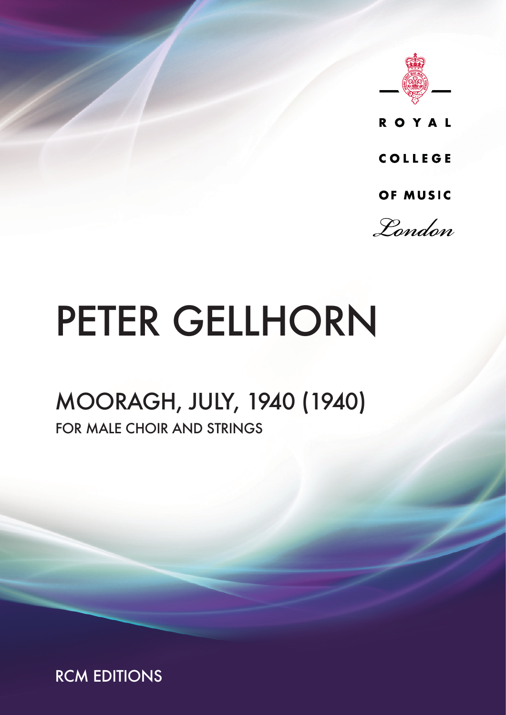

ROYAL

**COLLEGE** 

OF MUSIC

London

# PETER GELLHORN

## MOORAGH, JULY, 1940 (1940) FOR MALE CHOIR AND STRINGS

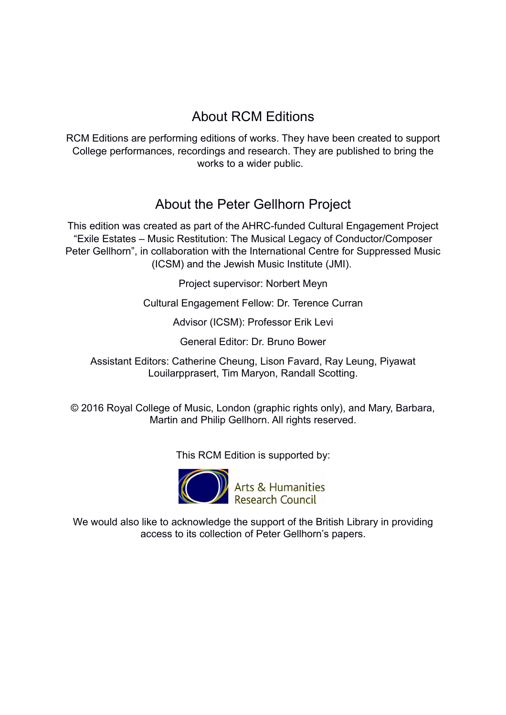## About RCM Editions

RCM Editions are performing editions of works. They have been created to support College performances, recordings and research. They are published to bring the works to a wider public.

## About the Peter Gellhorn Project

This edition was created as part of the AHRC-funded Cultural Engagement Project "Exile Estates – Music Restitution: The Musical Legacy of Conductor/Composer Peter Gellhorn", in collaboration with the International Centre for Suppressed Music (ICSM) and the Jewish Music Institute (JMI).

Project supervisor: Norbert Meyn

Cultural Engagement Fellow: Dr. Terence Curran

Advisor (ICSM): Professor Erik Levi

General Editor: Dr. Bruno Bower

Assistant Editors: Catherine Cheung, Lison Favard, Ray Leung, Piyawat Louilarpprasert, Tim Maryon, Randall Scotting.

© 2016 Royal College of Music, London (graphic rights only), and Mary, Barbara, Martin and Philip Gellhorn. All rights reserved.

This RCM Edition is supported by:



Arts & Humanities

We would also like to acknowledge the support of the British Library in providing access to its collection of Peter Gellhorn's papers.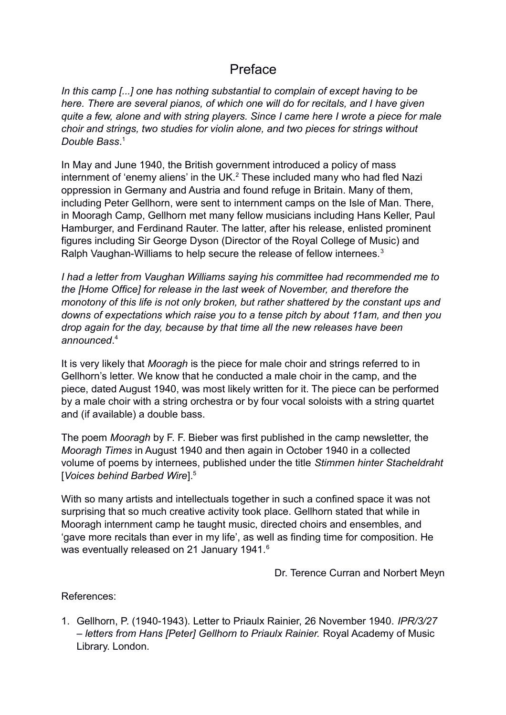## Preface

*In this camp [...] one has nothing substantial to complain of except having to be here. There are several pianos, of which one will do for recitals, and I have given quite a few, alone and with string players. Since I came here I wrote a piece for male choir and strings, two studies for violin alone, and two pieces for strings without Double Bass*. 1

In May and June 1940, the British government introduced a policy of mass internment of 'enemy aliens' in the UK. $2$  These included many who had fled Nazi oppression in Germany and Austria and found refuge in Britain. Many of them, including Peter Gellhorn, were sent to internment camps on the Isle of Man. There, in Mooragh Camp, Gellhorn met many fellow musicians including Hans Keller, Paul Hamburger, and Ferdinand Rauter. The latter, after his release, enlisted prominent figures including Sir George Dyson (Director of the Royal College of Music) and Ralph Vaughan-Williams to help secure the release of fellow internees.<sup>3</sup>

*I had a letter from Vaughan Williams saying his committee had recommended me to the [Home Office] for release in the last week of November, and therefore the monotony of this life is not only broken, but rather shattered by the constant ups and downs of expectations which raise you to a tense pitch by about 11am, and then you drop again for the day, because by that time all the new releases have been announced*. 4

It is very likely that *Mooragh* is the piece for male choir and strings referred to in Gellhorn's letter. We know that he conducted a male choir in the camp, and the piece, dated August 1940, was most likely written for it. The piece can be performed by a male choir with a string orchestra or by four vocal soloists with a string quartet and (if available) a double bass.

The poem *Mooragh* by F. F. Bieber was first published in the camp newsletter, the *Mooragh Times* in August 1940 and then again in October 1940 in a collected volume of poems by internees, published under the title *Stimmen hinter Stacheldraht* [*Voices behind Barbed Wire*].<sup>5</sup>

With so many artists and intellectuals together in such a confined space it was not surprising that so much creative activity took place. Gellhorn stated that while in Mooragh internment camp he taught music, directed choirs and ensembles, and 'gave more recitals than ever in my life', as well as finding time for composition. He was eventually released on 21 January 1941.<sup>6</sup>

Dr. Terence Curran and Norbert Meyn

References:

1. Gellhorn, P. (1940-1943). Letter to Priaulx Rainier, 26 November 1940. *IPR/3/27 – letters from Hans [Peter] Gellhorn to Priaulx Rainier.* Royal Academy of Music Library. London.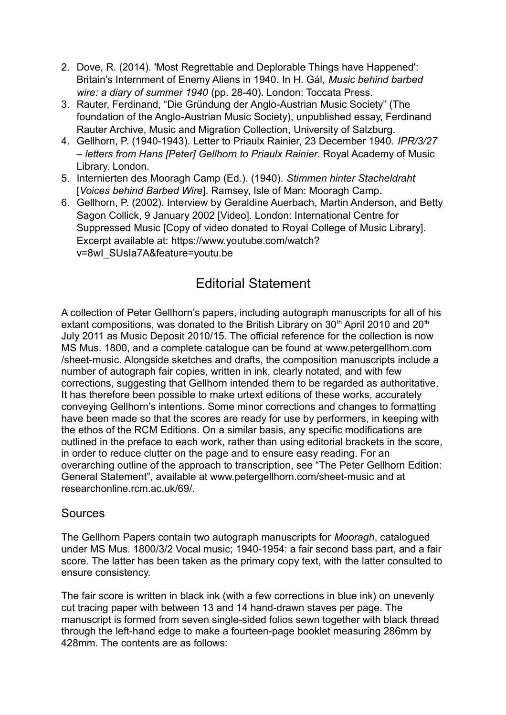- 2. Dove, R. (2014). 'Most Regrettable and Deplorable Things have Happened': Britain's Internment of Enemy Aliens in 1940. In H. Gál, *Music behind barbed wire: a diary of summer 1940* (pp. 28-40). London: Toccata Press.
- 3. Rauter, Ferdinand, "Die Gründung der Anglo-Austrian Music Society" (The foundation of the Anglo-Austrian Music Society), unpublished essay, Ferdinand Rauter Archive, Music and Migration Collection, University of Salzburg.
- 4. Gellhorn, P. (1940-1943). Letter to Priaulx Rainier, 23 December 1940. *IPR/3/27 – letters from Hans [Peter] Gellhorn to Priaulx Rainier*. Royal Academy of Music Library. London.
- 5. Internierten des Mooragh Camp (Ed.). (1940). *Stimmen hinter Stacheldraht* [*Voices behind Barbed Wire*]. Ramsey, Isle of Man: Mooragh Camp.
- 6. Gellhorn, P. (2002). Interview by Geraldine Auerbach, Martin Anderson, and Betty Sagon Collick, 9 January 2002 [Video]. London: International Centre for Suppressed Music [Copy of video donated to Royal College of Music Library]. Excerpt available at: https://www.youtube.com/watch? v=8wI\_SUsIa7A&feature=youtu.be

## Editorial Statement

A collection of Peter Gellhorn's papers, including autograph manuscripts for all of his extant compositions, was donated to the British Library on  $30<sup>th</sup>$  April 2010 and  $20<sup>th</sup>$ July 2011 as Music Deposit 2010/15. The official reference for the collection is now MS Mus. 1800, and a complete catalogue can be found at www.petergellhorn.com /sheet-music. Alongside sketches and drafts, the composition manuscripts include a number of autograph fair copies, written in ink, clearly notated, and with few corrections, suggesting that Gellhorn intended them to be regarded as authoritative. It has therefore been possible to make urtext editions of these works, accurately conveying Gellhorn's intentions. Some minor corrections and changes to formatting have been made so that the scores are ready for use by performers, in keeping with the ethos of the RCM Editions. On a similar basis, any specific modifications are outlined in the preface to each work, rather than using editorial brackets in the score, in order to reduce clutter on the page and to ensure easy reading. For an overarching outline of the approach to transcription, see "The Peter Gellhorn Edition: General Statement", available at www.petergellhorn.com/sheet-music and at researchonline.rcm.ac.uk/69/.

#### **Sources**

The Gellhorn Papers contain two autograph manuscripts for *Mooragh*, catalogued under MS Mus. 1800/3/2 Vocal music; 1940-1954: a fair second bass part, and a fair score. The latter has been taken as the primary copy text, with the latter consulted to ensure consistency.

The fair score is written in black ink (with a few corrections in blue ink) on unevenly cut tracing paper with between 13 and 14 hand-drawn staves per page. The manuscript is formed from seven single-sided folios sewn together with black thread through the left-hand edge to make a fourteen-page booklet measuring 286mm by 428mm. The contents are as follows: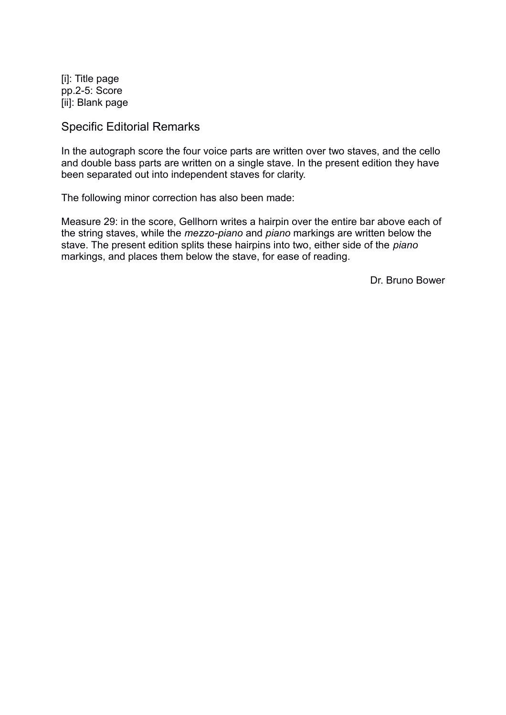[i]: Title page pp.2-5: Score [ii]: Blank page

#### Specific Editorial Remarks

In the autograph score the four voice parts are written over two staves, and the cello and double bass parts are written on a single stave. In the present edition they have been separated out into independent staves for clarity.

The following minor correction has also been made:

Measure 29: in the score, Gellhorn writes a hairpin over the entire bar above each of the string staves, while the *mezzo-piano* and *piano* markings are written below the stave. The present edition splits these hairpins into two, either side of the *piano* markings, and places them below the stave, for ease of reading.

Dr. Bruno Bower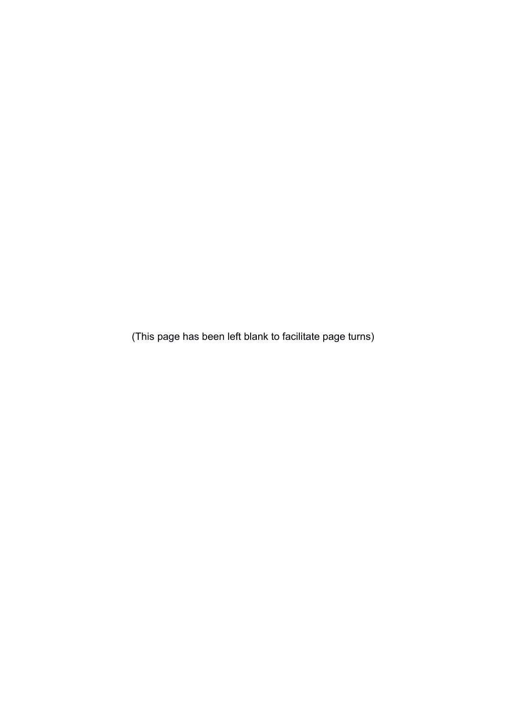(This page has been left blank to facilitate page turns)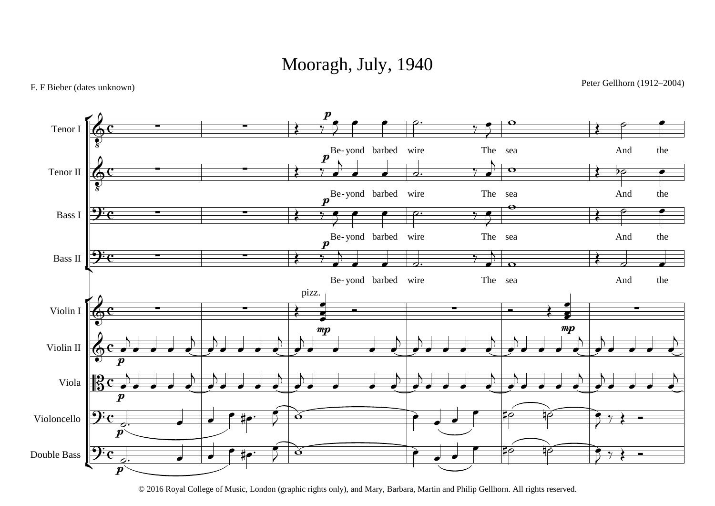## Mooragh, July, 1940

#### F. F Bieber (dates unknown)

Peter Gellhorn (1912–2004)

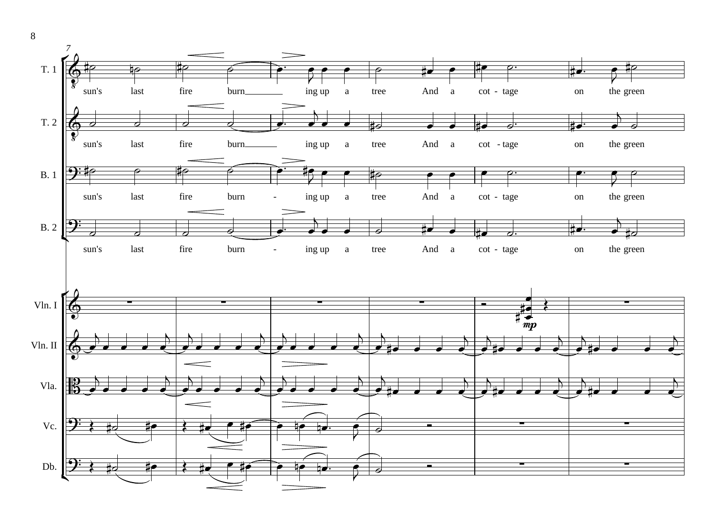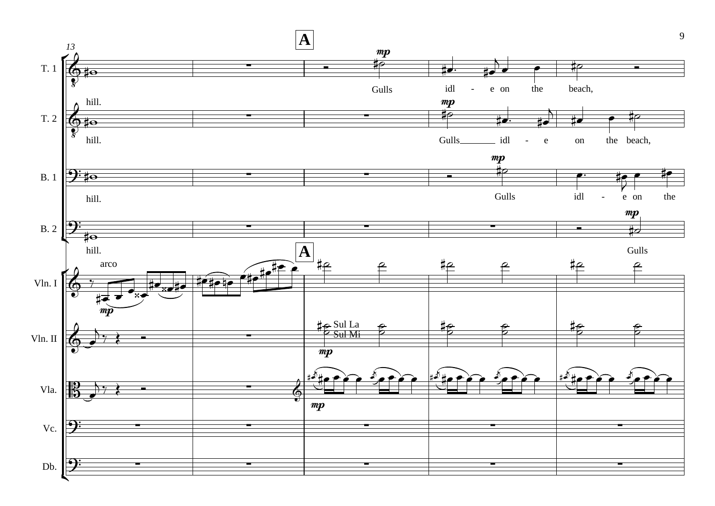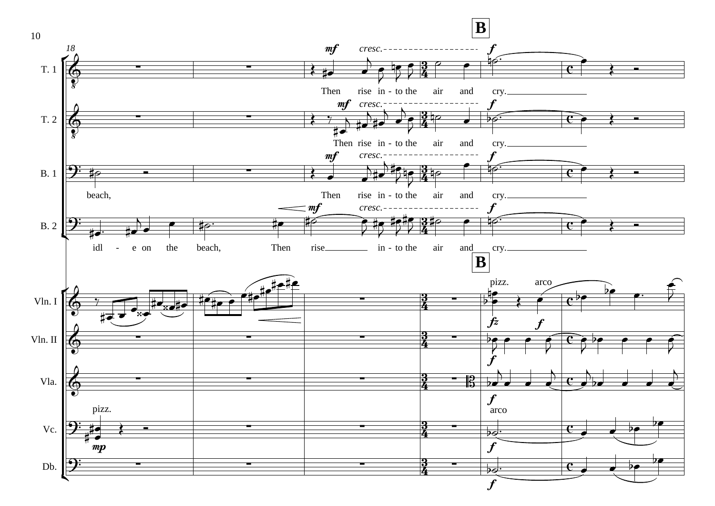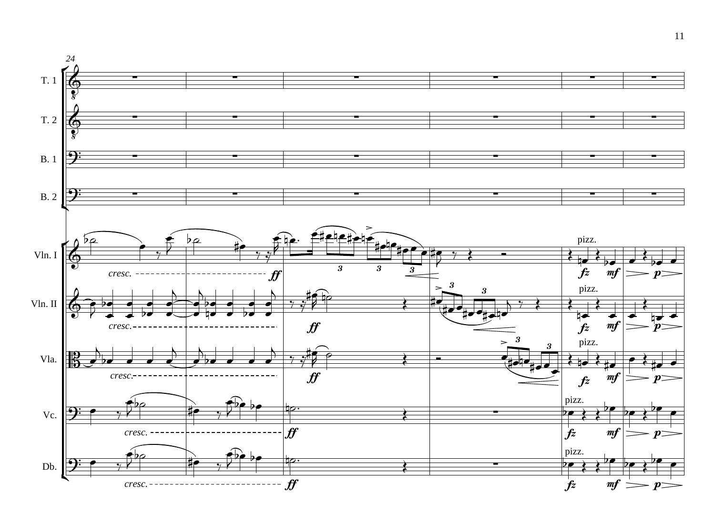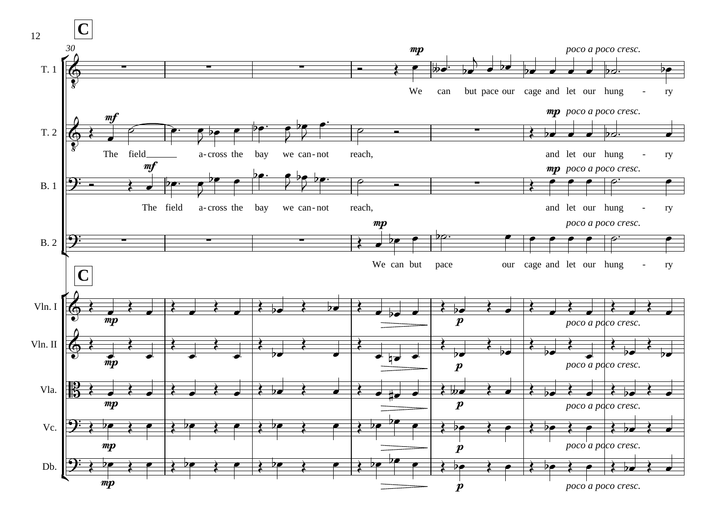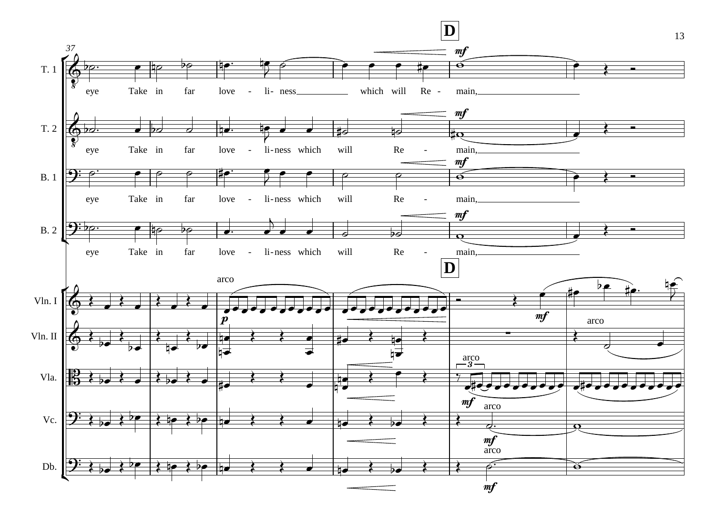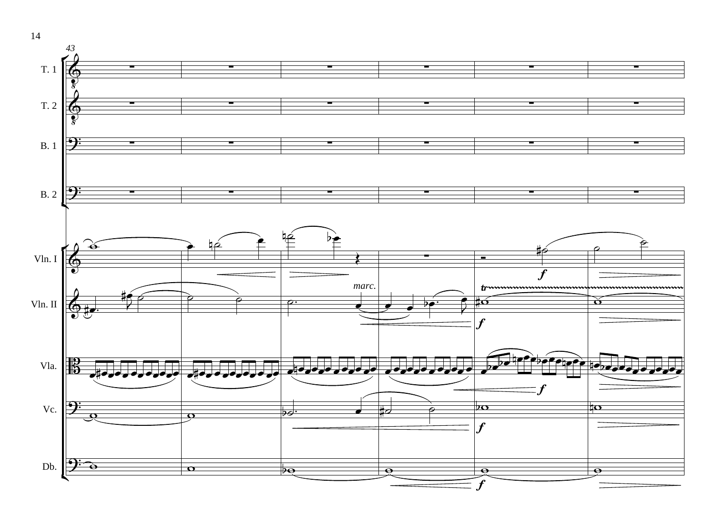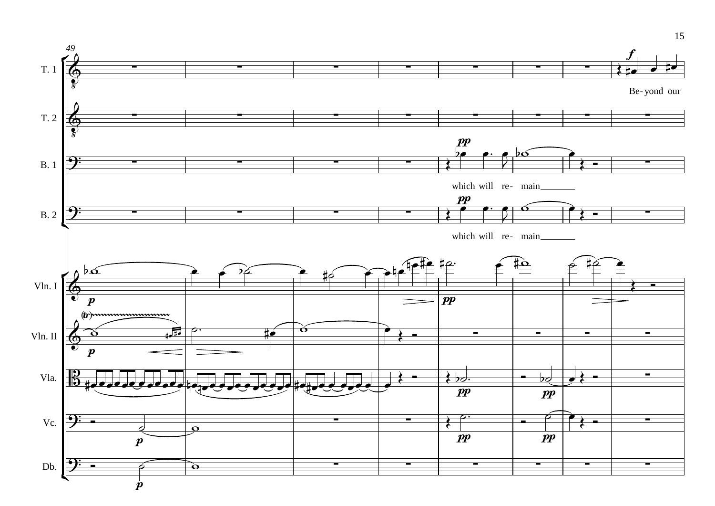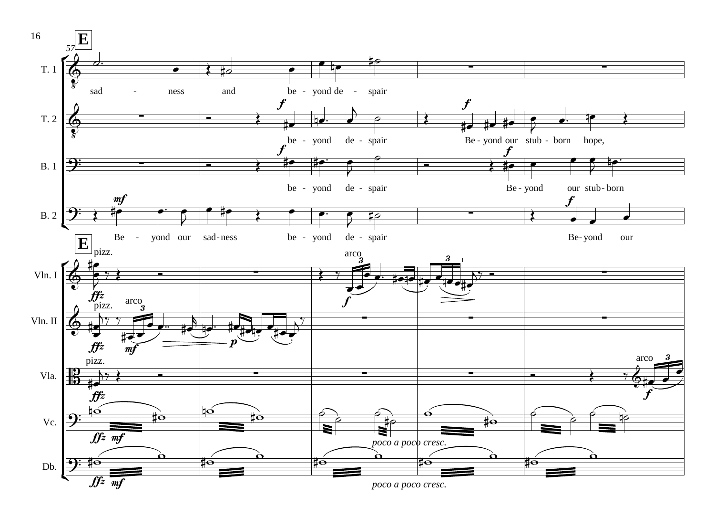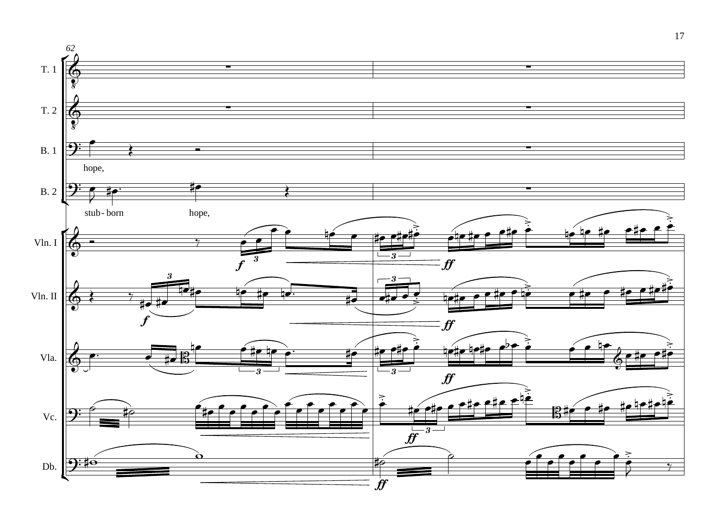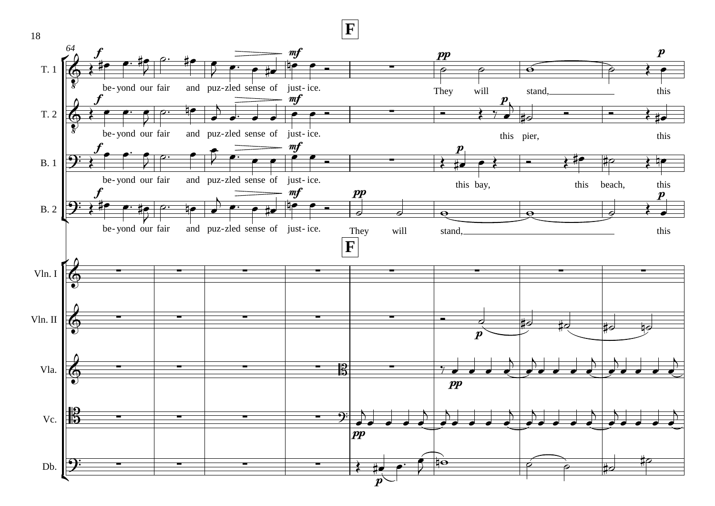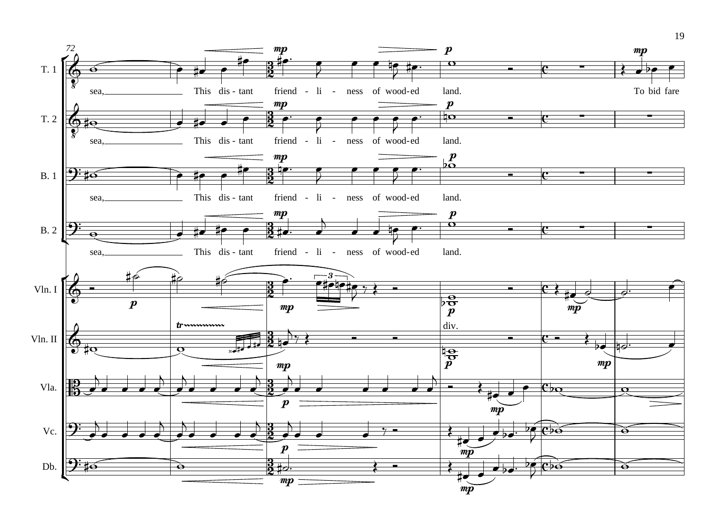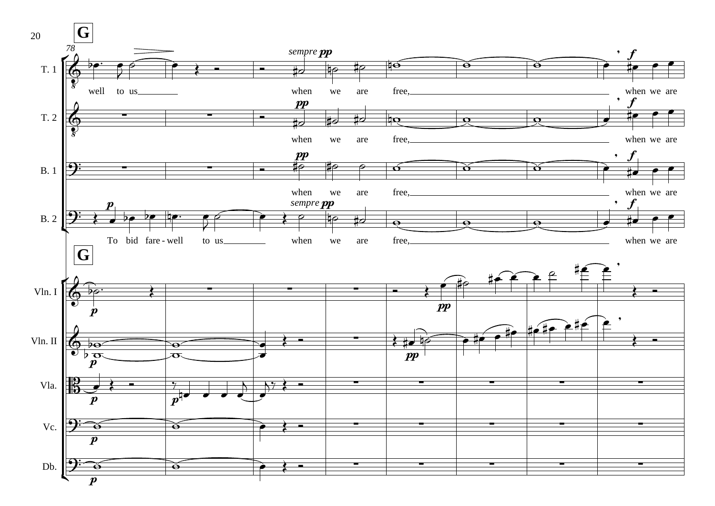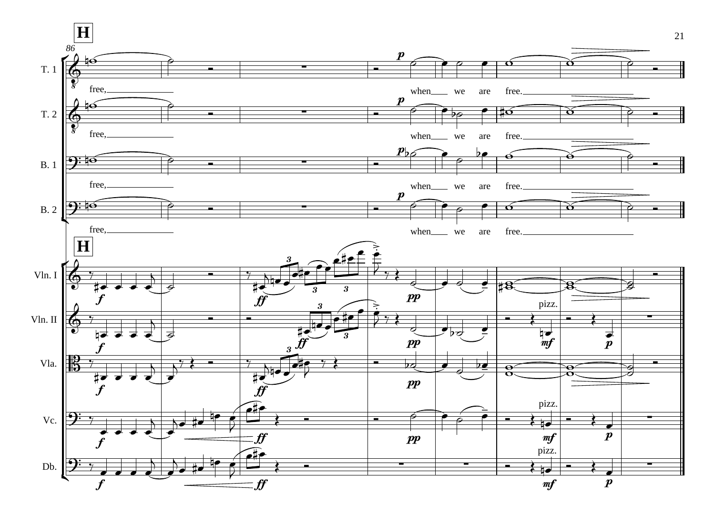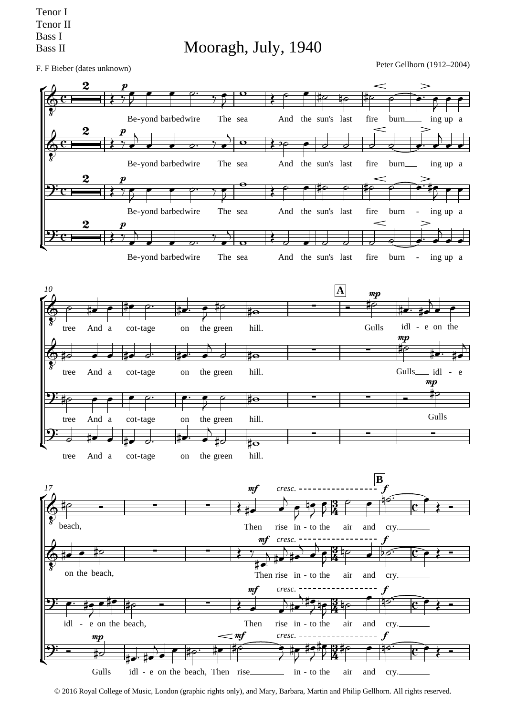## Tenor I Tenor II Bass I

Bass II Mooragh, July, 1940

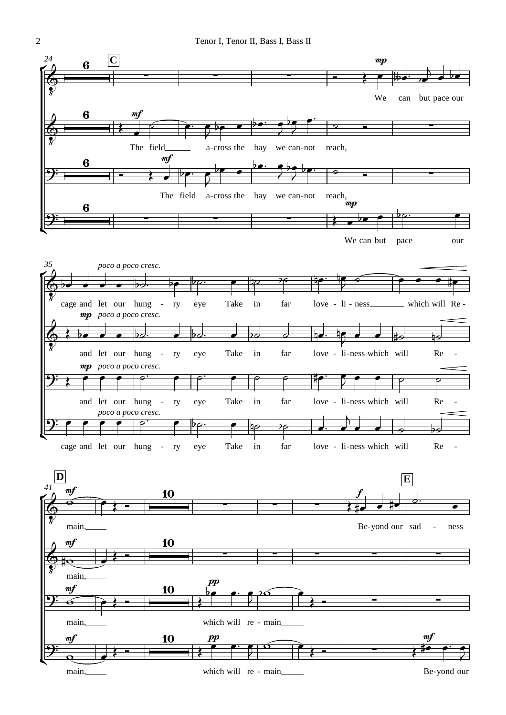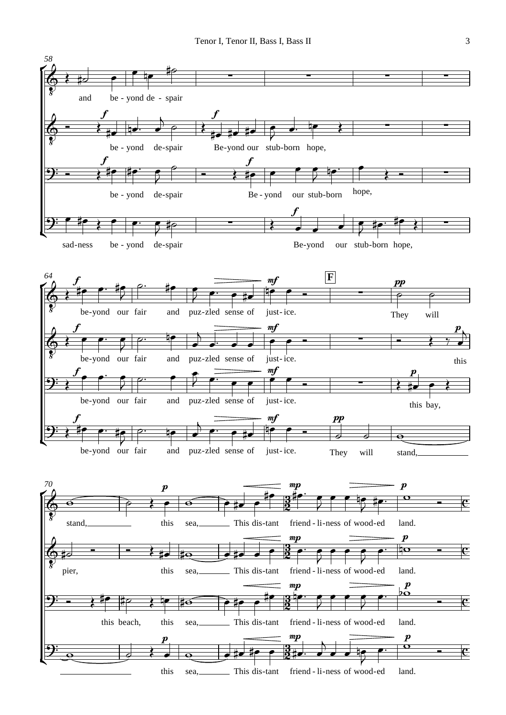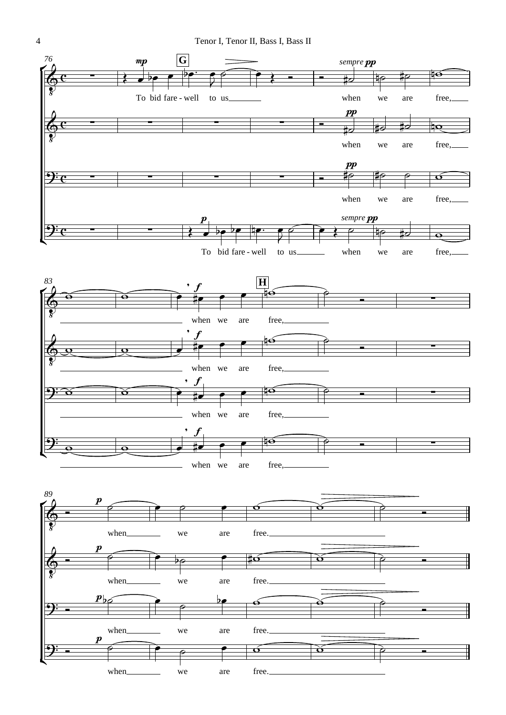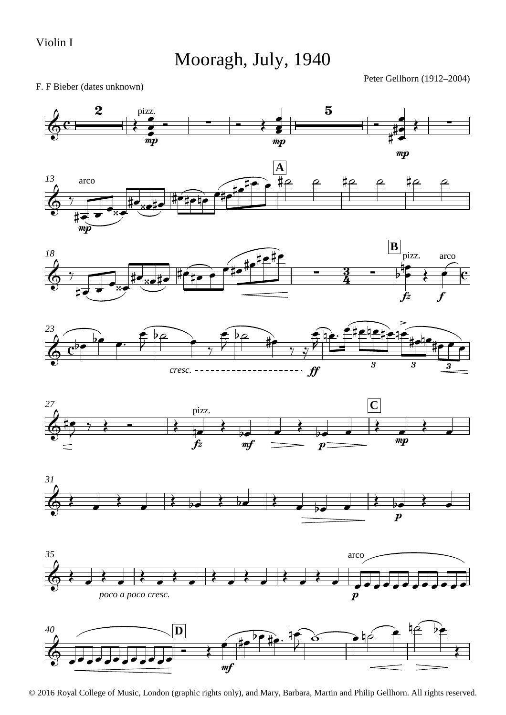### Violin I

Mooragh, July, 1940

#### F. F Bieber (dates unknown)

Peter Gellhorn (1912–2004)













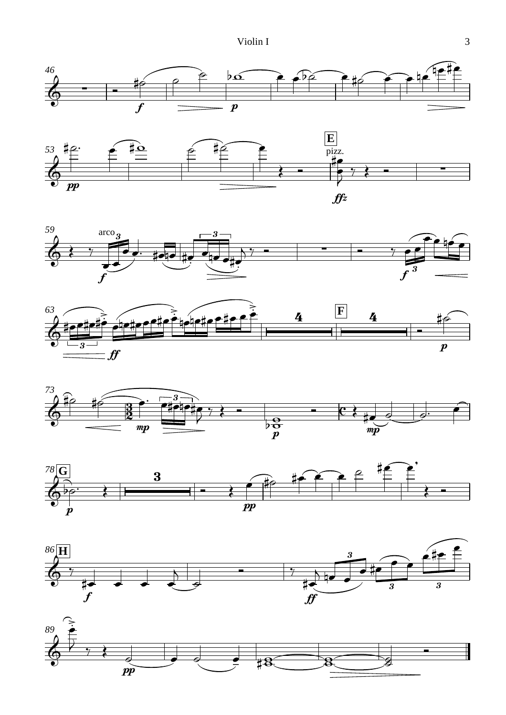Violin I 3















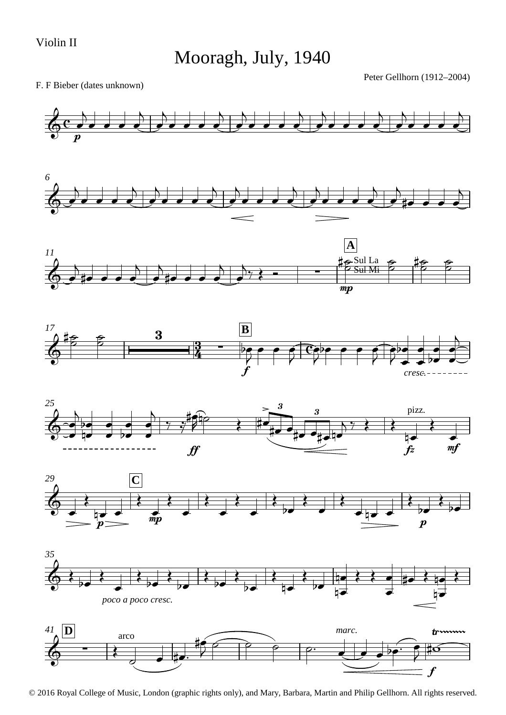Mooragh, July, 1940

#### F. F Bieber (dates unknown)

Peter Gellhorn (1912–2004)

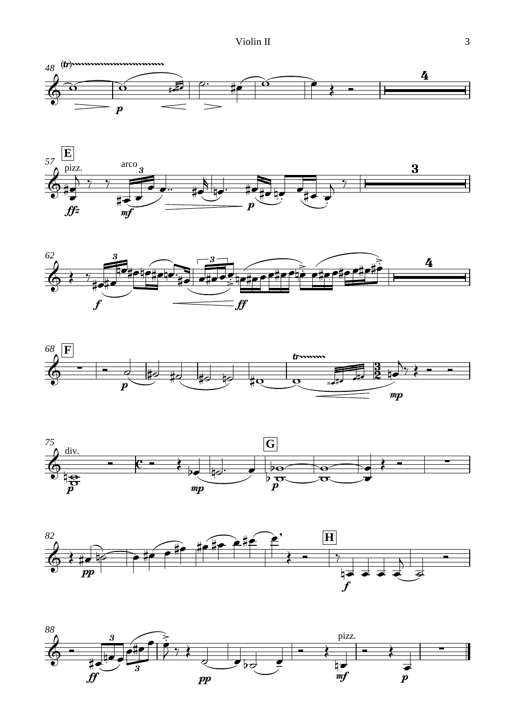











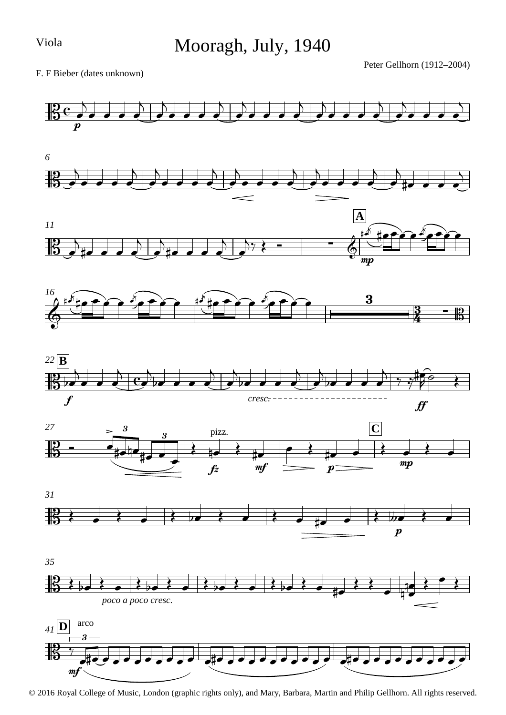Viola Mooragh, July, 1940

F. F Bieber (dates unknown)

Peter Gellhorn (1912–2004)

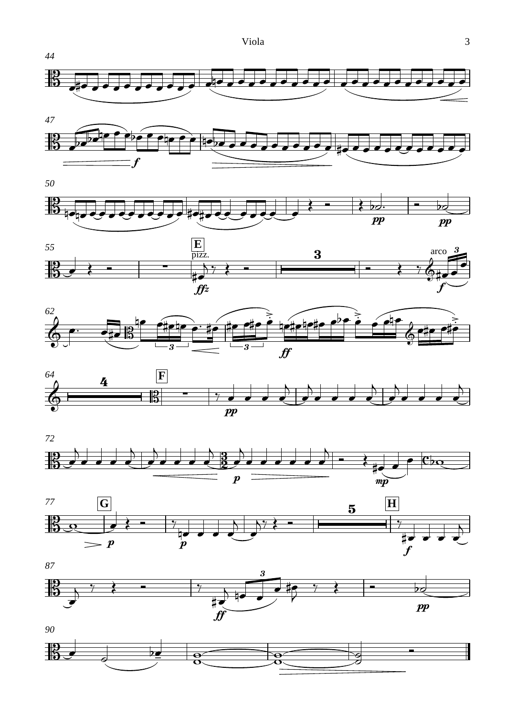

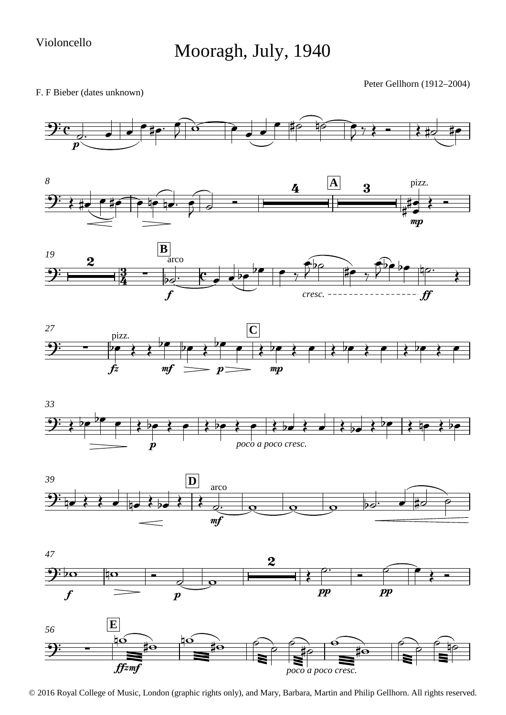Violoncello Mooragh, July, 1940

#### F. F Bieber (dates unknown)

Peter Gellhorn (1912–2004)















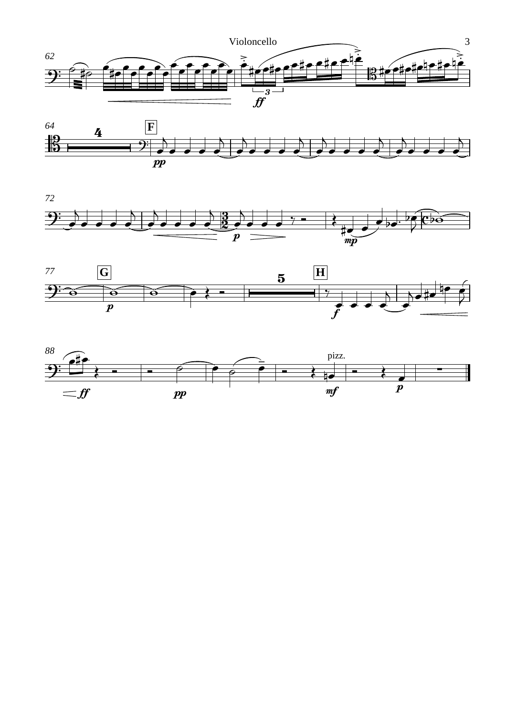







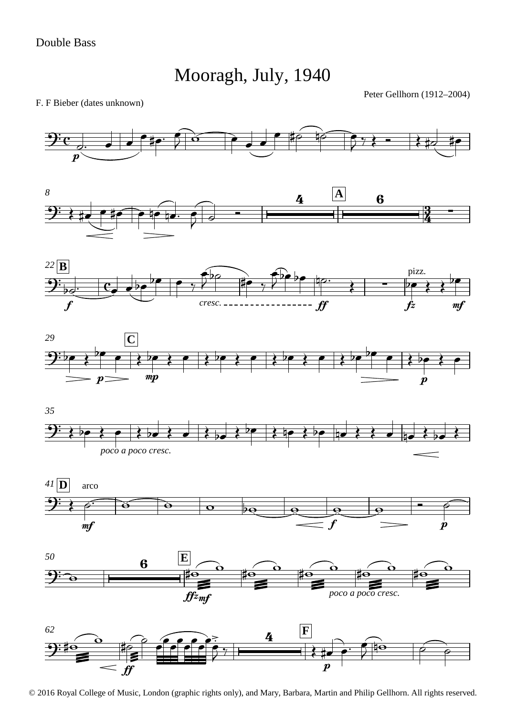Mooragh, July, 1940

#### F. F Bieber (dates unknown)

Peter Gellhorn (1912–2004)



<sup>© 2016</sup> Royal College of Music, London (graphic rights only), and Mary, Barbara, Martin and Philip Gellhorn. All rights reserved.